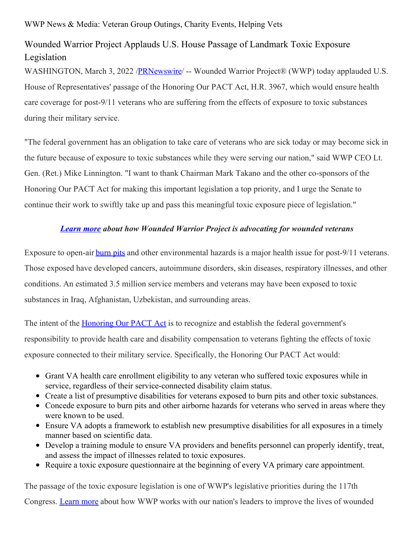WWP News & Media: Veteran Group Outings, Charity Events, Helping Vets

## Wounded Warrior Project Applauds U.S. House Passage of Landmark Toxic Exposure Legislation

WASHINGTON, March 3, 2022 [/PRNewswire](http://www.prnewswire.com/)/ -- Wounded Warrior Project® (WWP) today applauded U.S. House of Representatives' passage of the Honoring Our PACT Act, H.R. 3967, which would ensure health care coverage for post-9/11 veterans who are suffering from the effects of exposure to toxic substances during their military service.

"The federal government has an obligation to take care of veterans who are sick today or may become sick in the future because of exposure to toxic substances while they were serving our nation," said WWP CEO Lt. Gen. (Ret.) Mike Linnington. "I want to thank Chairman Mark Takano and the other co-sponsors of the Honoring Our PACT Act for making this important legislation a top priority, and I urge the Senate to continue their work to swiftly take up and pass this meaningful toxic exposure piece of legislation."

## *[Learn](https://c212.net/c/link/?t=0&l=en&o=3462114-1&h=1570046798&u=https%3A%2F%2Fwww.woundedwarriorproject.org%2Fprograms%2Fgovernment-affairs%2Flegislative-priorities%23toxic_exposure&a=Learn+more) more about how Wounded Warrior Project is advocating for wounded veterans*

Exposure to open-air **[burn](https://c212.net/c/link/?t=0&l=en&o=3462114-1&h=138937204&u=https%3A%2F%2Fnewsroom.woundedwarriorproject.org%2FRoutine-Physical-Saves-Veterans-Life-after-Burn-Pit-Exposure&a=burn+pits) pits** and other environmental hazards is a major health issue for post-9/11 veterans. Those exposed have developed cancers, autoimmune disorders, skin diseases, respiratory illnesses, and other conditions. An estimated 3.5 million service members and veterans may have been exposed to toxic substances in Iraq, Afghanistan, Uzbekistan, and surrounding areas.

The intent of the [Honoring](https://c212.net/c/link/?t=0&l=en&o=3462114-1&h=375225207&u=https%3A%2F%2Fnewsroom.woundedwarriorproject.org%2FNew-Legislation-to-Improve-Lives-of-Warriors-Exposed-to-Toxic-Substances&a=Honoring+Our+PACT+Act) Our PACT Act is to recognize and establish the federal government's responsibility to provide health care and disability compensation to veterans fighting the effects of toxic exposure connected to their military service. Specifically, the Honoring Our PACT Act would:

- Grant VA health care enrollment eligibility to any veteran who suffered toxic exposures while in service, regardless of their service-connected disability claim status.
- Create a list of presumptive disabilities for veterans exposed to burn pits and other toxic substances.
- Concede exposure to burn pits and other airborne hazards for veterans who served in areas where they were known to be used.
- Ensure VA adopts a framework to establish new presumptive disabilities for all exposures in a timely manner based on scientific data.
- Develop a training module to ensure VA providers and benefits personnel can properly identify, treat, and assess the impact of illnesses related to toxic exposures.
- Require a toxic exposure questionnaire at the beginning of every VA primary care appointment.

The passage of the toxic exposure legislation is one of WWP's legislative priorities during the 117th

Congress. [Learn](https://c212.net/c/link/?t=0&l=en&o=3462114-1&h=3570457772&u=https%3A%2F%2Fwww.woundedwarriorproject.org%2Fprograms%2Fgovernment-affairs%2Flegislative-priorities&a=Learn+more) more about how WWP works with our nation's leaders to improve the lives of wounded